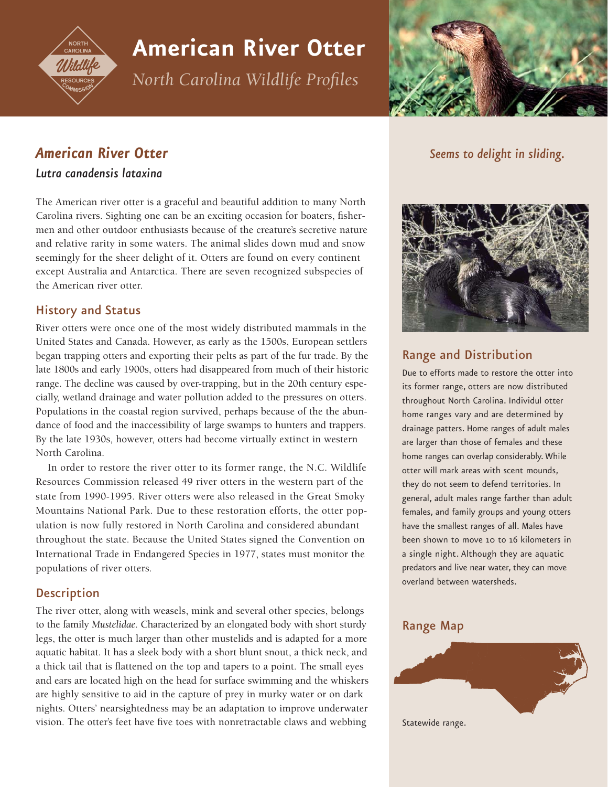

# **American River Otter**

*North Carolina Wildlife Profiles*



# *American River Otter*

### *Lutra canadensis lataxina*

The American river otter is a graceful and beautiful addition to many North Carolina rivers. Sighting one can be an exciting occasion for boaters, fishermen and other outdoor enthusiasts because of the creature's secretive nature and relative rarity in some waters. The animal slides down mud and snow seemingly for the sheer delight of it. Otters are found on every continent except Australia and Antarctica. There are seven recognized subspecies of the American river otter.

### History and Status

River otters were once one of the most widely distributed mammals in the United States and Canada. However, as early as the 1500s, European settlers began trapping otters and exporting their pelts as part of the fur trade. By the late 1800s and early 1900s, otters had disappeared from much of their historic range. The decline was caused by over-trapping, but in the 20th century especially, wetland drainage and water pollution added to the pressures on otters. Populations in the coastal region survived, perhaps because of the the abundance of food and the inaccessibility of large swamps to hunters and trappers. By the late 1930s, however, otters had become virtually extinct in western North Carolina.

In order to restore the river otter to its former range, the N.C. Wildlife Resources Commission released 49 river otters in the western part of the state from 1990-1995. River otters were also released in the Great Smoky Mountains National Park. Due to these restoration efforts, the otter population is now fully restored in North Carolina and considered abundant throughout the state. Because the United States signed the Convention on International Trade in Endangered Species in 1977, states must monitor the populations of river otters.

### **Description**

The river otter, along with weasels, mink and several other species, belongs to the family *Mustelidae*. Characterized by an elongated body with short sturdy legs, the otter is much larger than other mustelids and is adapted for a more aquatic habitat. It has a sleek body with a short blunt snout, a thick neck, and a thick tail that is flattened on the top and tapers to a point. The small eyes and ears are located high on the head for surface swimming and the whiskers are highly sensitive to aid in the capture of prey in murky water or on dark nights. Otters' nearsightedness may be an adaptation to improve underwater vision. The otter's feet have five toes with nonretractable claws and webbing

*Seems to delight in sliding.*



## Range and Distribution

Due to efforts made to restore the otter into its former range, otters are now distributed throughout North Carolina. Individul otter home ranges vary and are determined by drainage patters. Home ranges of adult males are larger than those of females and these home ranges can overlap considerably. While otter will mark areas with scent mounds, they do not seem to defend territories. In general, adult males range farther than adult females, and family groups and young otters have the smallest ranges of all. Males have been shown to move 10 to 16 kilometers in a single night. Although they are aquatic predators and live near water, they can move overland between watersheds.

### Range Map



Statewide range.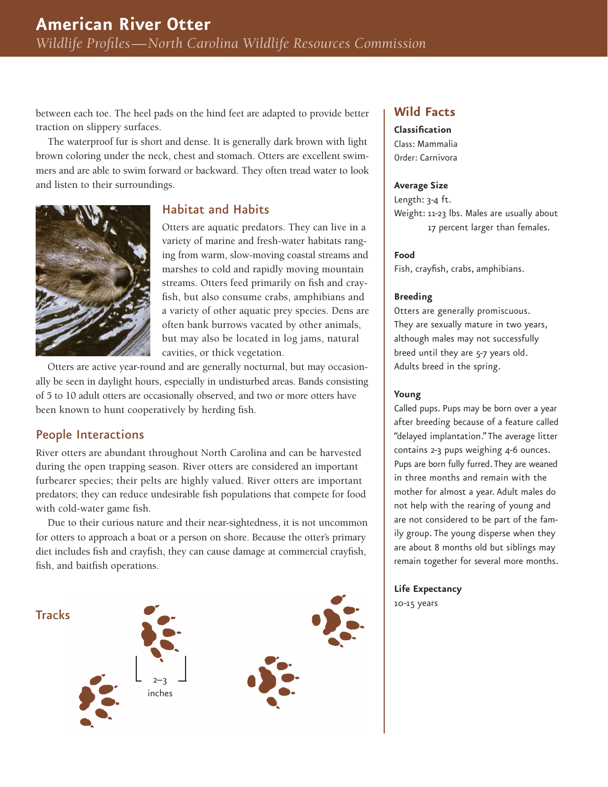between each toe. The heel pads on the hind feet are adapted to provide better traction on slippery surfaces.

The waterproof fur is short and dense. It is generally dark brown with light brown coloring under the neck, chest and stomach. Otters are excellent swimmers and are able to swim forward or backward. They often tread water to look and listen to their surroundings.



### Habitat and Habits

Otters are aquatic predators. They can live in a variety of marine and fresh-water habitats ranging from warm, slow-moving coastal streams and marshes to cold and rapidly moving mountain streams. Otters feed primarily on fish and cray fish, but also consume crabs, amphibians and a variety of other aquatic prey species. Dens are often bank burrows vacated by other animals, but may also be located in log jams, natural cavities, or thick vegetation.

Otters are active year-round and are generally nocturnal, but may occasionally be seen in daylight hours, especially in undisturbed areas. Bands consisting of 5 to 10 adult otters are occasionally observed, and two or more otters have been known to hunt cooperatively by herding fish.

### People Interactions

River otters are abundant throughout North Carolina and can be harvested during the open trapping season. River otters are considered an important furbearer species; their pelts are highly valued. River otters are important predators; they can reduce undesirable fish populations that compete for food with cold-water game fish.

Due to their curious nature and their near-sightedness, it is not uncommon for otters to approach a boat or a person on shore. Because the otter's primary diet includes fish and crayfish, they can cause damage at commercial crayfish, fish, and baitfish operations.



### **Wild Facts**

**Classification** Class: Mammalia Order: Carnivora

#### **Average Size**

Length: 3-4 ft. Weight: 11-23 lbs. Males are usually about 17 percent larger than females.

#### **Food**

Fish, crayfish, crabs, amphibians.

#### **Breeding**

Otters are generally promiscuous. They are sexually mature in two years, although males may not successfully breed until they are 5-7 years old. Adults breed in the spring.

#### **Young**

Called pups. Pups may be born over a year after breeding because of a feature called "delayed implantation." The average litter contains 2-3 pups weighing 4-6 ounces. Pups are born fully furred. They are weaned in three months and remain with the mother for almost a year. Adult males do not help with the rearing of young and are not considered to be part of the family group. The young disperse when they are about 8 months old but siblings may remain together for several more months.

**Life Expectancy** 10-15 years